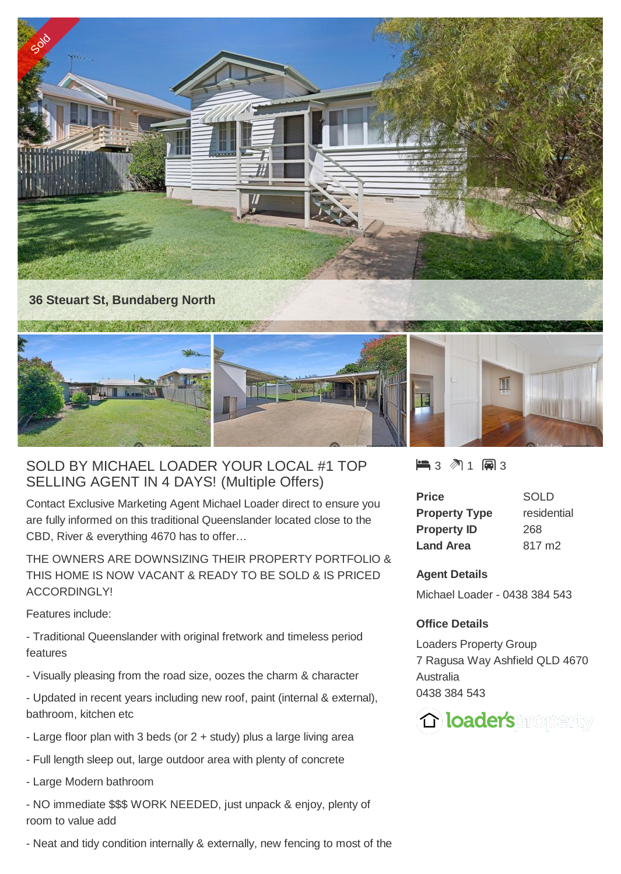

## SOLD BY MICHAEL LOADER YOUR LOCAL #1 TOP SELLING AGENT IN 4 DAYS! (Multiple Offers)

Contact Exclusive Marketing Agent Michael Loader direct to ensure you are fully informed on this traditional Queenslander located close to the CBD, River & everything 4670 has to offer…

THE OWNERS ARE DOWNSIZING THEIR PROPERTY PORTFOLIO & THIS HOME IS NOW VACANT & READY TO BE SOLD & IS PRICED ACCORDINGLY!

Features include:

- Traditional Queenslander with original fretwork and timeless period features
- Visually pleasing from the road size, oozes the charm & character
- Updated in recent years including new roof, paint (internal & external), bathroom, kitchen etc
- Large floor plan with 3 beds (or 2 + study) plus a large living area
- Full length sleep out, large outdoor area with plenty of concrete
- Large Modern bathroom
- NO immediate \$\$\$ WORK NEEDED, just unpack & enjoy, plenty of room to value add
- Neat and tidy condition internally & externally, new fencing to most of the

 $\blacksquare$  3  $\blacksquare$  1  $\blacksquare$  3

| Price                | SOLD               |
|----------------------|--------------------|
| <b>Property Type</b> | residential        |
| <b>Property ID</b>   | 268                |
| <b>Land Area</b>     | 817 m <sub>2</sub> |

## **Agent Details**

Michael Loader - 0438 384 543

## **Office Details**

Loaders Property Group 7 Ragusa Way Ashfield QLD 4670 Australia 0438 384 543